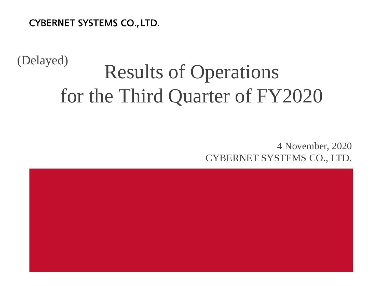**CYBERNET SYSTEMS CO., LTD.** 

(Delayed)

# Results of Operations for the Third Quarter of FY2020

4 November, 2020 CYBERNET SYSTEMS CO., LTD.

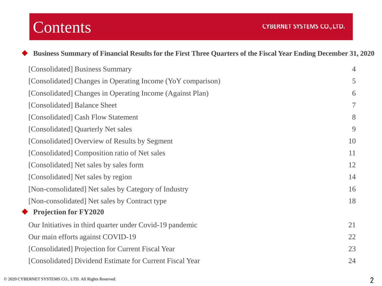## **Contents**

| Business Summary of Financial Results for the First Three Quarters of the Fiscal Year Ending December 31, 2020 |                |
|----------------------------------------------------------------------------------------------------------------|----------------|
| [Consolidated] Business Summary                                                                                | 4              |
| [Consolidated] Changes in Operating Income (YoY comparison)                                                    | 5              |
| [Consolidated] Changes in Operating Income (Against Plan)                                                      | 6              |
| [Consolidated] Balance Sheet                                                                                   | $\overline{7}$ |
| [Consolidated] Cash Flow Statement                                                                             | 8              |
| [Consolidated] Quarterly Net sales                                                                             | 9              |
| [Consolidated] Overview of Results by Segment                                                                  | 10             |
| [Consolidated] Composition ratio of Net sales                                                                  | 11             |
| [Consolidated] Net sales by sales form                                                                         | 12             |
| [Consolidated] Net sales by region                                                                             | 14             |
| [Non-consolidated] Net sales by Category of Industry                                                           | 16             |
| [Non-consolidated] Net sales by Contract type                                                                  | 18             |
| $\blacklozenge$ Projection for FY2020                                                                          |                |
| Our Initiatives in third quarter under Covid-19 pandemic                                                       | 21             |
| Our main efforts against COVID-19                                                                              | 22             |
| [Consolidated] Projection for Current Fiscal Year                                                              | 23             |
| [Consolidated] Dividend Estimate for Current Fiscal Year                                                       | 24             |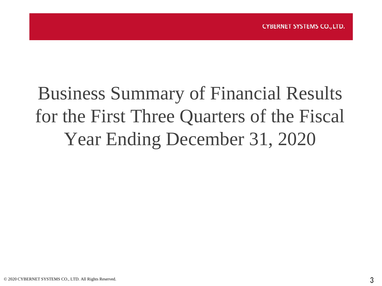## Business Summary of Financial Results for the First Three Quarters of the Fiscal Year Ending December 31, 2020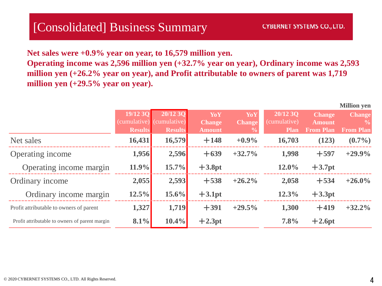### [Consolidated] Business Summary

**Net sales were +0.9% year on year, to 16,579 million yen. Operating income was 2,596 million yen (+32.7% year on year), Ordinary income was 2,593 million yen (+26.2% year on year), and Profit attributable to owners of parent was 1,719 million yen (+29.5% year on year).**

|                                                | 19/12 30<br><b>Results</b> | 20/12 3O<br>(cumulative) (cumulative)<br><b>Results</b> | YoY<br><b>Change</b><br><b>Amount</b> | YoY<br><b>Change</b><br>$\frac{0}{0}$ | 20/12 3O<br>(cumulative)<br><b>Plan</b> | <b>Change</b><br><b>Amount</b><br><b>From Plan</b> | <b>TATHLIOH A</b><br><b>Change</b><br><b>From Plan</b> |
|------------------------------------------------|----------------------------|---------------------------------------------------------|---------------------------------------|---------------------------------------|-----------------------------------------|----------------------------------------------------|--------------------------------------------------------|
| Net sales                                      | 16,431                     | 16,579                                                  | $+148$                                | $+0.9%$                               | 16,703                                  | (123)                                              | $(0.7\%)$                                              |
| Operating income                               | 1,956                      | 2,596                                                   | $+639$                                | $+32.7%$                              | 1,998                                   | $+597$                                             | $+29.9%$                                               |
| Operating income margin                        | 11.9%                      | $15.7\%$                                                | $+3.8pt$                              |                                       | $12.0\%$                                | $+3.7pt$                                           |                                                        |
| Ordinary income                                | 2,055                      | 2,593                                                   | $+538$                                | $+26.2%$                              | 2,058                                   | $+534$                                             | $+26.0\%$                                              |
| Ordinary income margin                         | 12.5%                      | $15.6\%$                                                | $+3.1pt$                              |                                       | 12.3%                                   | $+3.3pt$                                           |                                                        |
| Profit attributable to owners of parent        | 1,327                      | 1,719                                                   | $+391$                                | $+29.5%$                              | 1,300                                   | $+419$                                             | $+32.2%$                                               |
| Profit attributable to owners of parent margin | 8.1%                       | $10.4\%$                                                | $+2.3pt$                              |                                       | 7.8%                                    | $+2.6pt$                                           |                                                        |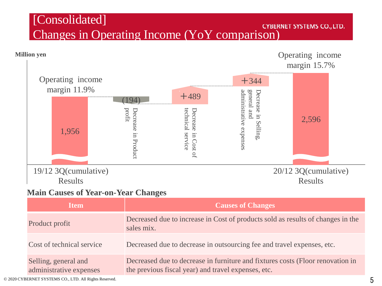### [Consolidated] COLLOCALCOLS CONSUMINGLY



Cost of technical service Decreased due to decrease in outsourcing fee and travel expenses, etc.

Selling, general and administrative expenses Decreased due to decrease in furniture and fixtures costs (Floor renovation in the previous fiscal year) and travel expenses, etc.

© 2020 CYBERNET SYSTEMS CO., LTD. All Rights Reserved.  $5$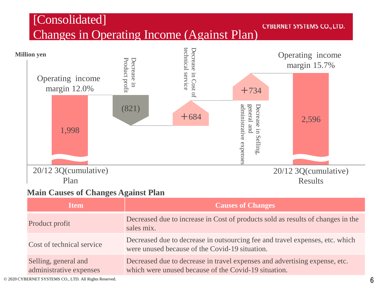### [Consolidated] Changes in Operating Income (Against Plan)

#### **CYBERNET SYSTEMS CO., LTD.**



#### **Main Causes of Changes Against Plan**

| <b>Item</b>                                     | <b>Causes of Changes</b>                                                                                                           |
|-------------------------------------------------|------------------------------------------------------------------------------------------------------------------------------------|
| Product profit                                  | Decreased due to increase in Cost of products sold as results of changes in the<br>sales mix.                                      |
| Cost of technical service                       | Decreased due to decrease in outsourcing fee and travel expenses, etc. which<br>were unused because of the Covid-19 situation.     |
| Selling, general and<br>administrative expenses | Decreased due to decrease in travel expenses and advertising expense, etc.<br>which were unused because of the Covid-19 situation. |

© 2020 CYBERNET SYSTEMS CO., LTD. All Rights Reserved.  $6\,$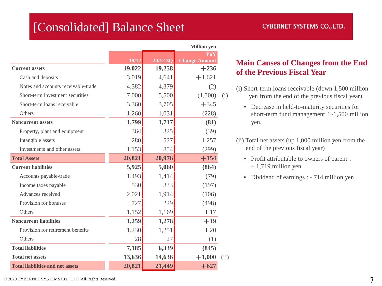### [Consolidated] Balance Sheet

| <b>CYBERNET SYSTEMS CO., LTD.</b> |  |  |  |
|-----------------------------------|--|--|--|
|                                   |  |  |  |

|                                         |        | <b>Million</b> yen |                             |      |  |  |
|-----------------------------------------|--------|--------------------|-----------------------------|------|--|--|
|                                         | 19/12  | 20/12 3O           | YoY<br><b>Change Amount</b> |      |  |  |
| <b>Current assets</b>                   | 19,022 | 19,258             | $+236$                      |      |  |  |
| Cash and deposits                       | 3,019  | 4,641              | $+1,621$                    |      |  |  |
| Notes and accounts receivable-trade     | 4,382  | 4,379              | (2)                         |      |  |  |
| Short-term investment securities        | 7,000  | 5,500              | (1,500)                     | (i)  |  |  |
| Short-term loans receivable             | 3,360  | 3,705              | $+345$                      |      |  |  |
| Others                                  | 1,260  | 1,031              | (228)                       |      |  |  |
| <b>Noncurrent assets</b>                | 1,799  | 1,717              | (81)                        |      |  |  |
| Property, plant and equipment           | 364    | 325                | (39)                        |      |  |  |
| Intangible assets                       | 280    | 537                | $+257$                      |      |  |  |
| Investments and other assets            | 1,153  | 854                | (299)                       |      |  |  |
| <b>Total Assets</b>                     | 20,821 | 20,976             | $+154$                      |      |  |  |
| <b>Current liabilities</b>              | 5,925  | 5,060              | (864)                       |      |  |  |
| Accounts payable-trade                  | 1,493  | 1,414              | (79)                        |      |  |  |
| Income taxes payable                    | 530    | 333                | (197)                       |      |  |  |
| Advances received                       | 2,021  | 1,914              | (106)                       |      |  |  |
| Provision for bonuses                   | 727    | 229                | (498)                       |      |  |  |
| Others                                  | 1,152  | 1,169              | $+17$                       |      |  |  |
| <b>Noncurrent liabilities</b>           | 1,259  | 1,278              | $+19$                       |      |  |  |
| Provision for retirement benefits       | 1,230  | 1,251              | $+20$                       |      |  |  |
| Others                                  | 28     | 27                 | (1)                         |      |  |  |
| <b>Total liabilities</b>                | 7,185  | 6,339              | (845)                       |      |  |  |
| <b>Total net assets</b>                 | 13,636 | 14,636             | $+1,000$                    | (ii) |  |  |
| <b>Total liabilities and net assets</b> | 20,821 | 21,449             | $+627$                      |      |  |  |

#### **Main Causes of Changes from the End of the Previous Fiscal Year**

- (i) Short-term loans receivable (down 1,500 million yen from the end of the previous fiscal year)
	- Decrease in held-to-maturity securities for short-term fund management  $\div$  -1,500 million yen.
- (ii) Total net assets (up 1,000 million yen from the end of the previous fiscal year)
	- Profit attributable to owners of parent:  $+ 1,719$  million yen.
	- Dividend of earnings : 714 million yen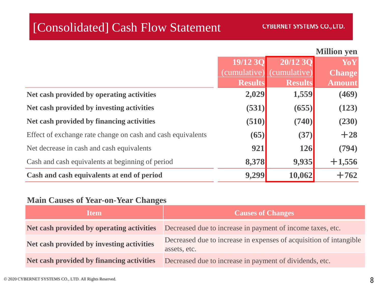### [Consolidated] Cash Flow Statement

|  |  | <b>Million</b> yen |  |
|--|--|--------------------|--|
|--|--|--------------------|--|

|                                                             | 19/12 30       | 20/12 30                  | <b>YoY</b>    |
|-------------------------------------------------------------|----------------|---------------------------|---------------|
|                                                             |                | (cumulative) (cumulative) | <b>Change</b> |
|                                                             | <b>Results</b> | <b>Results</b>            | <b>Amount</b> |
| Net cash provided by operating activities                   | 2,029          | 1,559                     | (469)         |
| Net cash provided by investing activities                   | (531)          | (655)                     | (123)         |
| Net cash provided by financing activities                   | (510)          | (740)                     | (230)         |
| Effect of exchange rate change on cash and cash equivalents | (65)           | (37)                      | $+28$         |
| Net decrease in cash and cash equivalents                   | 921            | 126                       | (794)         |
| Cash and cash equivalents at beginning of period            | 8,378          | 9,935                     | $+1,556$      |
| Cash and cash equivalents at end of period                  | 9,299          | 10,062                    | $+762$        |

#### **Main Causes of Year-on-Year Changes**

| <b>Item</b>                               | <b>Causes of Changes</b>                                                                             |
|-------------------------------------------|------------------------------------------------------------------------------------------------------|
|                                           | Net cash provided by operating activities Decreased due to increase in payment of income taxes, etc. |
| Net cash provided by investing activities | Decreased due to increase in expenses of acquisition of intangible<br>assets, etc.                   |
| Net cash provided by financing activities | Decreased due to increase in payment of dividends, etc.                                              |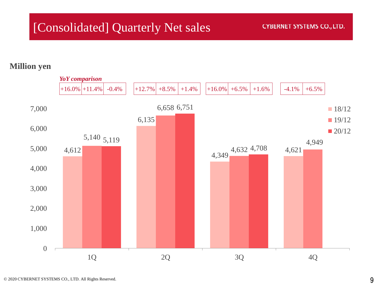## [Consolidated] Quarterly Net sales

#### **CYBERNET SYSTEMS CO., LTD.**

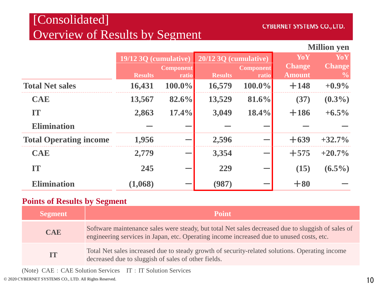### [Consolidated] Overview of Results by Segment

#### **CYBERNET SYSTEMS CO., LTD.**

#### **Million yen**

|                               | 19/12 3Q (cumulative) |                  | 20/12 3Q (cumulative) |                  | YoY           | YoY           |
|-------------------------------|-----------------------|------------------|-----------------------|------------------|---------------|---------------|
|                               |                       | <b>Component</b> |                       | <b>Component</b> | <b>Change</b> | <b>Change</b> |
|                               | <b>Results</b>        | ratio            | <b>Results</b>        | ratio            | <b>Amount</b> | $\frac{6}{9}$ |
| <b>Total Net sales</b>        | 16,431                | $100.0\%$        | 16,579                | $100.0\%$        | $+148$        | $+0.9\%$      |
| <b>CAE</b>                    | 13,567                | 82.6%            | 13,529                | 81.6%            | (37)          | $(0.3\%)$     |
| IT                            | 2,863                 | 17.4%            | 3,049                 | 18.4%            | $+186$        | $+6.5\%$      |
| <b>Elimination</b>            |                       |                  |                       |                  |               |               |
| <b>Total Operating income</b> | 1,956                 |                  | 2,596                 |                  | $+639$        | $+32.7%$      |
| <b>CAE</b>                    | 2,779                 |                  | 3,354                 |                  | $+575$        | $+20.7\%$     |
| <b>TT</b>                     | 245                   |                  | 229                   |                  | (15)          | $(6.5\%)$     |
| <b>Elimination</b>            | (1,068)               |                  | (987)                 |                  | $+80$         |               |

#### **Points of Results by Segment**

| <b>Segment</b> | <b>Point</b>                                                                                                                                                                                  |
|----------------|-----------------------------------------------------------------------------------------------------------------------------------------------------------------------------------------------|
| <b>CAE</b>     | Software maintenance sales were steady, but total Net sales decreased due to sluggish of sales of<br>engineering services in Japan, etc. Operating income increased due to unused costs, etc. |
| <b>IT</b>      | Total Net sales increased due to steady growth of security-related solutions. Operating income<br>decreased due to sluggish of sales of other fields.                                         |

(Note) CAE: CAE Solution Services IT: IT Solution Services

© 2020 CYBERNET SYSTEMS CO., LTD. All Rights Reserved. 10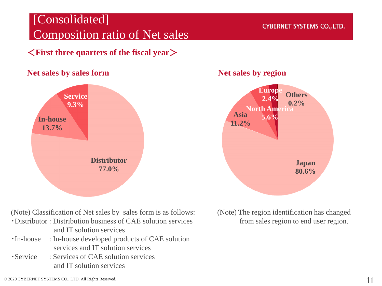### [Consolidated] Composition ratio of Net sales

<**First three quarters of the fiscal year**>

#### **Net sales by sales form Net sales by region**



(Note) Classification of Net sales by sales form is as follows:

- ・Distributor : Distribution business of CAE solution services and IT solution services
- ・In-house : In-house developed products of CAE solution services and IT solution services
- ・Service : Services of CAE solution services and IT solution services

#### **CYBERNET SYSTEMS CO., LTD.**



(Note) The region identification has changed from sales region to end user region.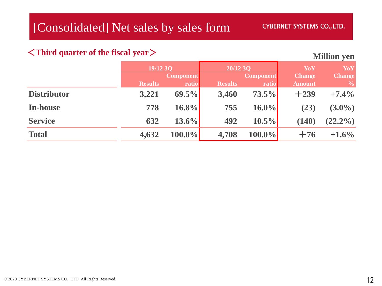#### <**Third quarter of the fiscal year**>

|                    | 19/12 3Q       |                           | 20/1230        |                    | YoY                            | YoY                             |
|--------------------|----------------|---------------------------|----------------|--------------------|--------------------------------|---------------------------------|
|                    | <b>Results</b> | <b>Component</b><br>ratio | <b>Results</b> | Component<br>ratio | <b>Change</b><br><b>Amount</b> | <b>Change</b><br>$\frac{6}{10}$ |
| <b>Distributor</b> | 3,221          | $69.5\%$                  | 3,460          | $73.5\%$           | $+239$                         | $+7.4\%$                        |
| In-house           | 778            | $16.8\%$                  | 755            | $16.0\%$           | (23)                           | $(3.0\%)$                       |
| <b>Service</b>     | 632            | $13.6\%$                  | 492            | $10.5\%$           | (140)                          | $(22.2\%)$                      |
| <b>Total</b>       | 4,632          | $100.0\%$                 | 4,708          | $100.0\%$          | $+76$                          | $+1.6\%$                        |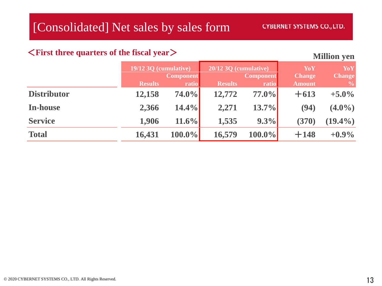#### <**First three quarters of the fiscal year**>

|                    | $19/12$ 3Q (cumulative) |                           | 20/12 3Q (cumulative) |                           | YoY                            | YoY                            |
|--------------------|-------------------------|---------------------------|-----------------------|---------------------------|--------------------------------|--------------------------------|
|                    | <b>Results</b>          | <b>Component</b><br>ratio | <b>Results</b>        | <b>Component</b><br>ratio | <b>Change</b><br><b>Amount</b> | <b>Change</b><br>$\frac{6}{9}$ |
| <b>Distributor</b> | 12,158                  | $74.0\%$                  | 12,772                | $77.0\%$                  | $+613$                         | $+5.0\%$                       |
| In-house           | 2,366                   | 14.4%                     | 2,271                 | $13.7\%$                  | (94)                           | $(4.0\%)$                      |
| <b>Service</b>     | 1,906                   | $11.6\%$                  | 1,535                 | $9.3\%$                   | (370)                          | $(19.4\%)$                     |
| <b>Total</b>       | 16,431                  | $100.0\%$                 | 16,579                | $100.0\%$                 | $+148$                         | $+0.9\%$                       |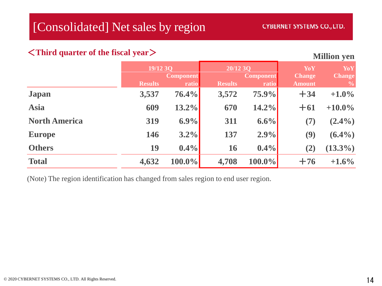#### <**Third quarter of the fiscal year**>

**Million yen**

|                      | 19/12 3Q       |                           | 20/12 3Q       |                           | YoY                            | YoY                            |
|----------------------|----------------|---------------------------|----------------|---------------------------|--------------------------------|--------------------------------|
|                      | <b>Results</b> | <b>Component</b><br>ratio | <b>Results</b> | <b>Component</b><br>ratio | <b>Change</b><br><b>Amount</b> | <b>Change</b><br>$\frac{6}{6}$ |
| <b>Japan</b>         | 3,537          | 76.4%                     | 3,572          | 75.9%                     | $+34$                          | $+1.0\%$                       |
| <b>Asia</b>          | 609            | $13.2\%$                  | 670            | $14.2\%$                  | $+61$                          | $+10.0\%$                      |
| <b>North America</b> | 319            | 6.9%                      | 311            | 6.6%                      | (7)                            | $(2.4\%)$                      |
| <b>Europe</b>        | 146            | $3.2\%$                   | 137            | 2.9%                      | (9)                            | $(6.4\%)$                      |
| <b>Others</b>        | 19             | $0.4\%$                   | <b>16</b>      | $0.4\%$                   | (2)                            | $(13.3\%)$                     |
| <b>Total</b>         | 4,632          | $100.0\%$                 | 4,708          | $100.0\%$                 | $+76$                          | $+1.6\%$                       |

(Note) The region identification has changed from sales region to end user region.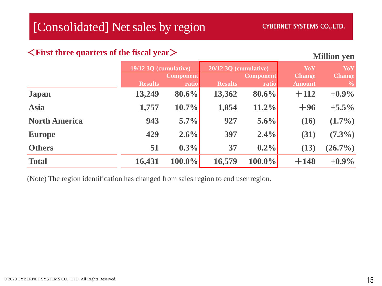#### <**First three quarters of the fiscal year**>

#### **Million yen**

|                      | 19/12 3Q (cumulative) |                           | 20/12 3Q (cumulative) |                           | YoY                            | YoY                            |
|----------------------|-----------------------|---------------------------|-----------------------|---------------------------|--------------------------------|--------------------------------|
|                      | <b>Results</b>        | <b>Component</b><br>ratio | <b>Results</b>        | <b>Component</b><br>ratio | <b>Change</b><br><b>Amount</b> | <b>Change</b><br>$\frac{6}{6}$ |
| <b>Japan</b>         | 13,249                | $80.6\%$                  | 13,362                | $80.6\%$                  | $+112$                         | $+0.9\%$                       |
| <b>Asia</b>          | 1,757                 | 10.7%                     | 1,854                 | $11.2\%$                  | $+96$                          | $+5.5\%$                       |
| <b>North America</b> | 943                   | 5.7%                      | 927                   | $5.6\%$                   | (16)                           | $(1.7\%)$                      |
| <b>Europe</b>        | 429                   | 2.6%                      | 397                   | $2.4\%$                   | (31)                           | $(7.3\%)$                      |
| <b>Others</b>        | 51                    | 0.3%                      | 37                    | $0.2\%$                   | (13)                           | $(26.7\%)$                     |
| <b>Total</b>         | 16,431                | $100.0\%$                 | 16,579                | $100.0\%$                 | $+148$                         | $+0.9\%$                       |

(Note) The region identification has changed from sales region to end user region.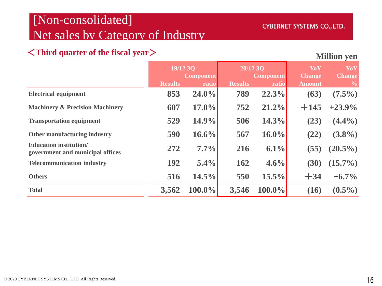### [Non-consolidated] Net sales by Category of Industry

#### <**Third quarter of the fiscal year**>

|                                                                  | 19/12 3Q       |                           | 20/12 3Q       |                           | YoY                            | YoY                            |
|------------------------------------------------------------------|----------------|---------------------------|----------------|---------------------------|--------------------------------|--------------------------------|
|                                                                  | <b>Results</b> | <b>Component</b><br>ratio | <b>Results</b> | <b>Component</b><br>ratio | <b>Change</b><br><b>Amount</b> | <b>Change</b><br>$\frac{0}{0}$ |
| <b>Electrical equipment</b>                                      | 853            | $24.0\%$                  | 789            | 22.3%                     | (63)                           | $(7.5\%)$                      |
| <b>Machinery &amp; Precision Machinery</b>                       | 607            | $17.0\%$                  | 752            | 21.2%                     | $+145$                         | $+23.9\%$                      |
| <b>Transportation equipment</b>                                  | 529            | 14.9%                     | 506            | 14.3%                     | (23)                           | $(4.4\%)$                      |
| Other manufacturing industry                                     | 590            | 16.6%                     | 567            | $16.0\%$                  | (22)                           | $(3.8\%)$                      |
| <b>Education institution</b><br>government and municipal offices | 272            | 7.7%                      | 216            | 6.1%                      | (55)                           | $(20.5\%)$                     |
| <b>Telecommunication industry</b>                                | 192            | 5.4%                      | 162            | $4.6\%$                   | (30)                           | $(15.7\%)$                     |
| <b>Others</b>                                                    | 516            | 14.5%                     | 550            | $15.5\%$                  | $+34$                          | $+6.7\%$                       |
| <b>Total</b>                                                     | 3,562          | $100.0\%$                 | 3,546          | $100.0\%$                 | (16)                           | $(0.5\%)$                      |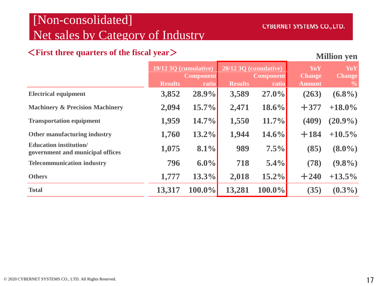### [Non-consolidated] Net sales by Category of Industry

#### <**First three quarters of the fiscal year**>

|                                                                   | 19/12 3Q (cumulative) |                           | 20/12 3Q (cumulative) |                           | YoY<br><b>Change</b> | YoY<br><b>Change</b> |
|-------------------------------------------------------------------|-----------------------|---------------------------|-----------------------|---------------------------|----------------------|----------------------|
|                                                                   | <b>Results</b>        | <b>Component</b><br>ratio | <b>Results</b>        | <b>Component</b><br>ratio | <b>Amount</b>        | $\frac{0}{0}$        |
| <b>Electrical equipment</b>                                       | 3,852                 | 28.9%                     | 3,589                 | 27.0%                     | (263)                | $(6.8\%)$            |
| <b>Machinery &amp; Precision Machinery</b>                        | 2,094                 | 15.7%                     | 2,471                 | $18.6\%$                  | $+377$               | $+18.0\%$            |
| <b>Transportation equipment</b>                                   | 1,959                 | 14.7%                     | 1,550                 | 11.7%                     | (409)                | $(20.9\%)$           |
| Other manufacturing industry                                      | 1,760                 | $13.2\%$                  | 1,944                 | 14.6%                     | $+184$               | $+10.5\%$            |
| <b>Education institution/</b><br>government and municipal offices | 1,075                 | 8.1%                      | 989                   | 7.5%                      | (85)                 | $(8.0\%)$            |
| <b>Telecommunication industry</b>                                 | 796                   | $6.0\%$                   | 718                   | $5.4\%$                   | (78)                 | $(9.8\%)$            |
| <b>Others</b>                                                     | 1,777                 | 13.3%                     | 2,018                 | $15.2\%$                  | $+240$               | $+13.5\%$            |
| <b>Total</b>                                                      | 13,317                | $100.0\%$                 | 13,281                | $100.0\%$                 | (35)                 | $(0.3\%)$            |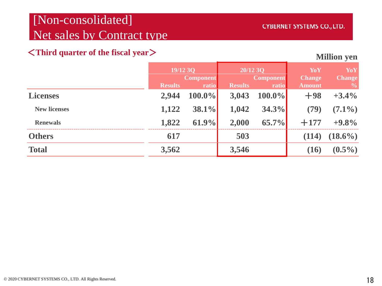### [Non-consolidated] Net sales by Contract type

#### <**Third quarter of the fiscal year**>

|                     | 19/12 3Q       |                  | 20/12 3Q         |           | YoY           | YoY                                  |
|---------------------|----------------|------------------|------------------|-----------|---------------|--------------------------------------|
|                     |                | <b>Component</b> | <b>Component</b> |           | <b>Change</b> | <b>Change</b>                        |
|                     | <b>Results</b> | ratio            | <b>Results</b>   | ratio     | <b>Amount</b> | $\overline{\mathbf{Q}}_{\mathbf{0}}$ |
| <b>Licenses</b>     | 2,944          | $100.0\%$        | 3,043            | $100.0\%$ | $+98$         | $+3.4\%$                             |
| <b>New licenses</b> | 1,122          | $38.1\%$         | 1,042            | 34.3%     | (79)          | $(7.1\%)$                            |
| <b>Renewals</b>     | 1,822          | 61.9%            | 2,000            | 65.7%     | $+177$        | $+9.8%$                              |
| <b>Others</b>       | 617            |                  | 503              |           | (114)         | $(18.6\%)$                           |
| <b>Total</b>        | 3,562          |                  | 3,546            |           | (16)          | $(0.5\%)$                            |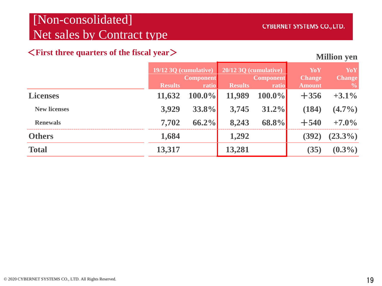### [Non-consolidated] Net sales by Contract type

#### <**First three quarters of the fiscal year**>

|                     | 19/12 3Q (cumulative) |                           | 20/12 3Q (cumulative) |                           | YoY                            | YoY                            |
|---------------------|-----------------------|---------------------------|-----------------------|---------------------------|--------------------------------|--------------------------------|
|                     | <b>Results</b>        | <b>Component</b><br>ratio | <b>Results</b>        | <b>Component</b><br>ratio | <b>Change</b><br><b>Amount</b> | <b>Change</b><br>$\frac{0}{0}$ |
| <b>Licenses</b>     | 11,632                | $100.0\%$                 | 11,989                | $100.0\%$                 | $+356$                         | $+3.1\%$                       |
| <b>New licenses</b> | 3,929                 | 33.8%                     | 3,745                 | $31.2\%$                  | (184)                          | $(4.7\%)$                      |
| <b>Renewals</b>     | 7,702                 | $66.2\%$                  | 8,243                 | 68.8%                     | $+540$                         | $+7.0\%$                       |
| <b>Others</b>       | 1,684                 |                           | 1,292                 |                           | (392)                          | $(23.3\%)$                     |
| <b>Total</b>        | 13,317                |                           | 13,281                |                           | (35)                           | $(0.3\%)$                      |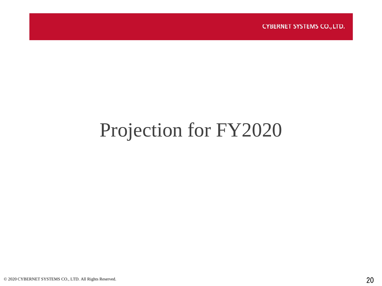**CYBERNET SYSTEMS CO., LTD.** 

## Projection for FY2020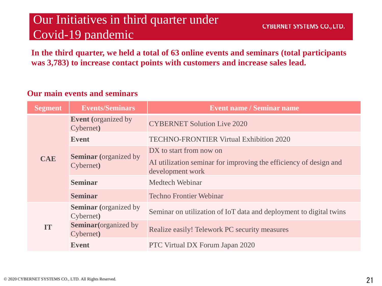### Our Initiatives in third quarter under Covid-19 pandemic

**In the third quarter, we held a total of 63 online events and seminars (total participants was 3,783) to increase contact points with customers and increase sales lead.**

#### **Our main events and seminars**

| <b>Segment</b> | <b>Events/Seminars</b>                    | <b>Event name / Seminar name</b>                                                      |
|----------------|-------------------------------------------|---------------------------------------------------------------------------------------|
|                | <b>Event</b> (organized by<br>Cybernet)   | <b>CYBERNET Solution Live 2020</b>                                                    |
|                | <b>Event</b>                              | <b>TECHNO-FRONTIER Virtual Exhibition 2020</b>                                        |
|                | <b>Seminar</b> (organized by              | DX to start from now on                                                               |
| <b>CAE</b>     | Cybernet)                                 | AI utilization seminar for improving the efficiency of design and<br>development work |
|                | <b>Seminar</b>                            | Medtech Webinar                                                                       |
|                | <b>Seminar</b>                            | <b>Techno Frontier Webinar</b>                                                        |
|                | <b>Seminar</b> (organized by<br>Cybernet) | Seminar on utilization of IoT data and deployment to digital twins                    |
| IT             | <b>Seminar</b> (organized by<br>Cybernet) | Realize easily! Telework PC security measures                                         |
|                | <b>Event</b>                              | <b>PTC Virtual DX Forum Japan 2020</b>                                                |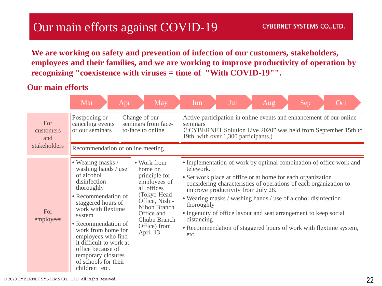### Our main efforts against COVID-19

**We are working on safety and prevention of infection of our customers, stakeholders, employees and their families, and we are working to improve productivity of operation by recognizing "coexistence with viruses = time of "With COVID-19"".**

#### **Our main efforts**

|                         | Mar<br>Apr                                                                                                                                                                                                                                                                                                                                          | May                                                                                                                                                                               | Jul<br>Jun<br>Aug<br>Oct<br>Sep                                                                                                                                                                                                                                                                                                                                                                                                                                                                         |
|-------------------------|-----------------------------------------------------------------------------------------------------------------------------------------------------------------------------------------------------------------------------------------------------------------------------------------------------------------------------------------------------|-----------------------------------------------------------------------------------------------------------------------------------------------------------------------------------|---------------------------------------------------------------------------------------------------------------------------------------------------------------------------------------------------------------------------------------------------------------------------------------------------------------------------------------------------------------------------------------------------------------------------------------------------------------------------------------------------------|
| For<br>customers<br>and | Postponing or<br>canceling events<br>or our seminars                                                                                                                                                                                                                                                                                                | Change of our<br>seminars from face-<br>to-face to online                                                                                                                         | Active participation in online events and enhancement of our online<br>seminars<br>("CYBERNET Solution Live 2020" was held from September 15th to<br>19th, with over 1,300 participants.)                                                                                                                                                                                                                                                                                                               |
| stakeholders            | Recommendation of online meeting                                                                                                                                                                                                                                                                                                                    |                                                                                                                                                                                   |                                                                                                                                                                                                                                                                                                                                                                                                                                                                                                         |
| For<br>employees        | • Wearing masks /<br>washing hands / use<br>of alcohol<br>disinfection<br>thoroughly<br>• Recommendation of<br>staggered hours of<br>work with flextime<br>system<br>• Recommendation of<br>work from home for<br>employees who find<br>it difficult to work at<br>office because of<br>temporary closures<br>of schools for their<br>children etc. | • Work from<br>home on<br>principle for<br>employees of<br>all offices<br>(Tokyo Head<br>Office, Nishi-<br>Nihon Branch<br>Office and<br>Chubu Branch<br>Office) from<br>April 13 | • Implementation of work by optimal combination of office work and<br>telework.<br>• Set work place at office or at home for each organization<br>considering characteristics of operations of each organization to<br>improve productivity from July 28.<br>• Wearing masks / washing hands / use of alcohol disinfection<br>thoroughly<br>• Ingenuity of office layout and seat arrangement to keep social<br>distancing<br>• Recommendation of staggered hours of work with flextime system,<br>etc. |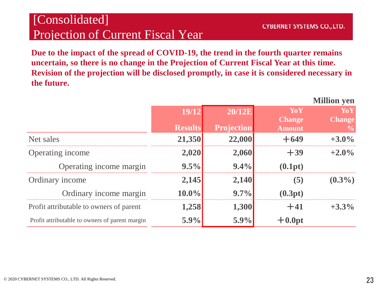### [Consolidated] Projection of Current Fiscal Year

**Million yen**

**Due to the impact of the spread of COVID-19, the trend in the fourth quarter remains uncertain, so there is no change in the Projection of Current Fiscal Year at this time. Revision of the projection will be disclosed promptly, in case it is considered necessary in the future.**

|                                                |                |                   |               | ічніцоп уеп   |
|------------------------------------------------|----------------|-------------------|---------------|---------------|
|                                                | 19/12          | <b>20/12E</b>     | YoY           | YoY           |
|                                                |                |                   | <b>Change</b> | <b>Change</b> |
|                                                | <b>Results</b> | <b>Projection</b> | <b>Amount</b> | $\frac{6}{9}$ |
| Net sales                                      | 21,350         | 22,000            | $+649$        | $+3.0\%$      |
| Operating income                               | 2,020          | 2,060             | $+39$         | $+2.0\%$      |
| Operating income margin                        | 9.5%           | $9.4\%$           | (0.1pt)       |               |
| Ordinary income                                | 2,145          | 2,140             | (5)           | $(0.3\%)$     |
| Ordinary income margin                         | $10.0\%$       | $9.7\%$           | (0.3pt)       |               |
| Profit attributable to owners of parent        | 1,258          | 1,300             | $+41$         | $+3.3\%$      |
| Profit attributable to owners of parent margin | 5.9%           | 5.9%              | $+0.0pt$      |               |
|                                                |                |                   |               |               |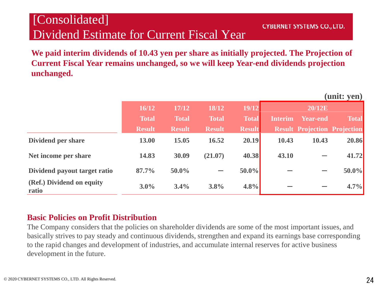### [Consolidated] Dividend Estimate for Current Fiscal Year

**CYBERNET SYSTEMS CO., LTD.** 

**(unit: yen)**

**We paid interim dividends of 10.43 yen per share as initially projected. The Projection of Current Fiscal Year remains unchanged, so we will keep Year-end dividends projection unchanged.**

|                                    |               |               |               |               |                |                                     | (uniu: yen <i>)</i> |
|------------------------------------|---------------|---------------|---------------|---------------|----------------|-------------------------------------|---------------------|
|                                    | 16/12         | 17/12         | 18/12         | 19/12         |                | <b>20/12E</b>                       |                     |
|                                    | <b>Total</b>  | <b>Total</b>  | <b>Total</b>  | <b>Total</b>  | <b>Interim</b> | Year-end                            | <b>Total</b>        |
|                                    | <b>Result</b> | <b>Result</b> | <b>Result</b> | <b>Result</b> |                | <b>Result Projection Projection</b> |                     |
| Dividend per share                 | 13.00         | 15.05         | 16.52         | 20.19         | 10.43          | 10.43                               | 20.86               |
| Net income per share               | 14.83         | 30.09         | (21.07)       | 40.38         | 43.10          |                                     | 41.72               |
| Dividend payout target ratio       | 87.7%         | 50.0%         |               | $50.0\%$      |                |                                     | 50.0%               |
| (Ref.) Dividend on equity<br>ratio | $3.0\%$       | 3.4%          | 3.8%          | $4.8\%$       |                |                                     | 4.7%                |

#### **Basic Policies on Profit Distribution**

The Company considers that the policies on shareholder dividends are some of the most important issues, and basically strives to pay steady and continuous dividends, strengthen and expand its earnings base corresponding to the rapid changes and development of industries, and accumulate internal reserves for active business development in the future.